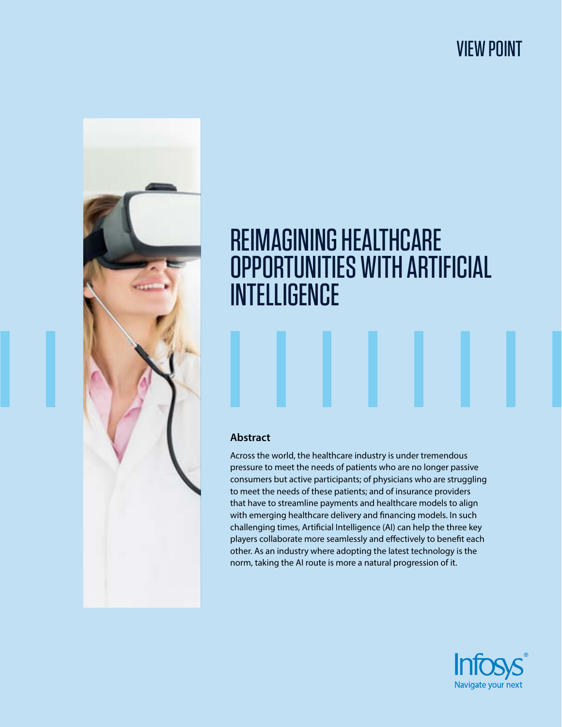## VIEW POINT



# REIMAGINING HEALTHCARE OPPORTUNITIES WITH ARTIFICIAL **INTELLIGENCE**

## **Abstract**

Across the world, the healthcare industry is under tremendous pressure to meet the needs of patients who are no longer passive consumers but active participants; of physicians who are struggling to meet the needs of these patients; and of insurance providers that have to streamline payments and healthcare models to align with emerging healthcare delivery and financing models. In such challenging times, Artificial Intelligence (AI) can help the three key players collaborate more seamlessly and effectively to benefit each other. As an industry where adopting the latest technology is the norm, taking the AI route is more a natural progression of it.

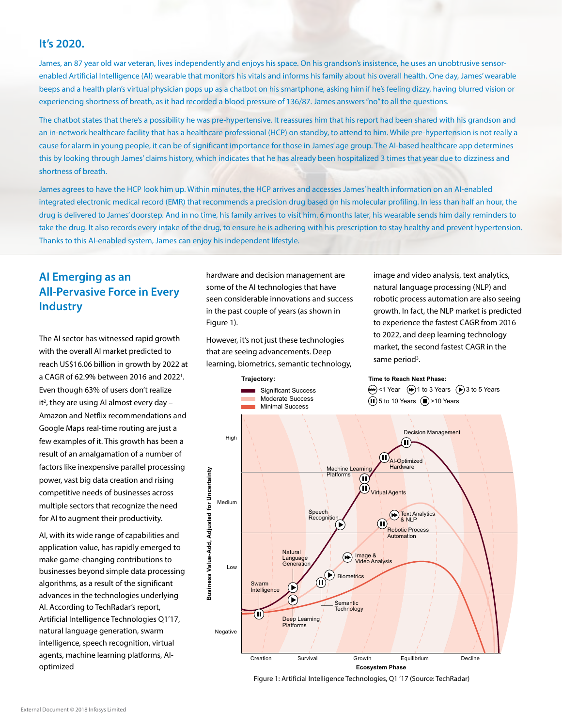### **It's 2020.**

James, an 87 year old war veteran, lives independently and enjoys his space. On his grandson's insistence, he uses an unobtrusive sensorenabled Artificial Intelligence (AI) wearable that monitors his vitals and informs his family about his overall health. One day, James' wearable beeps and a health plan's virtual physician pops up as a chatbot on his smartphone, asking him if he's feeling dizzy, having blurred vision or experiencing shortness of breath, as it had recorded a blood pressure of 136/87. James answers "no" to all the questions.

The chatbot states that there's a possibility he was pre-hypertensive. It reassures him that his report had been shared with his grandson and an in-network healthcare facility that has a healthcare professional (HCP) on standby, to attend to him. While pre-hypertension is not really a cause for alarm in young people, it can be of significant importance for those in James' age group. The AI-based healthcare app determines this by looking through James' claims history, which indicates that he has already been hospitalized 3 times that year due to dizziness and shortness of breath.

James agrees to have the HCP look him up. Within minutes, the HCP arrives and accesses James' health information on an AI-enabled integrated electronic medical record (EMR) that recommends a precision drug based on his molecular profiling. In less than half an hour, the drug is delivered to James' doorstep. And in no time, his family arrives to visit him. 6 months later, his wearable sends him daily reminders to take the drug. It also records every intake of the drug, to ensure he is adhering with his prescription to stay healthy and prevent hypertension. Thanks to this AI-enabled system, James can enjoy his independent lifestyle.

## **AI Emerging as an All-Pervasive Force in Every Industry**

The AI sector has witnessed rapid growth with the overall AI market predicted to reach US\$16.06 billion in growth by 2022 at a CAGR of 62.9% between 2016 and 2022<sup>1</sup>. Even though 63% of users don't realize it<sup>2</sup>, they are using AI almost every day -Amazon and Netflix recommendations and Google Maps real-time routing are just a few examples of it. This growth has been a result of an amalgamation of a number of factors like inexpensive parallel processing power, vast big data creation and rising competitive needs of businesses across multiple sectors that recognize the need for AI to augment their productivity.

AI, with its wide range of capabilities and application value, has rapidly emerged to make game-changing contributions to businesses beyond simple data processing algorithms, as a result of the significant advances in the technologies underlying AI. According to TechRadar's report, Artificial Intelligence Technologies Q1'17, natural language generation, swarm intelligence, speech recognition, virtual agents, machine learning platforms, AIoptimized

hardware and decision management are some of the AI technologies that have seen considerable innovations and success in the past couple of years (as shown in Figure 1).

However, it's not just these technologies that are seeing advancements. Deep learning, biometrics, semantic technology,

> Moderate Success Significant Success

**Trajectory:**

image and video analysis, text analytics, natural language processing (NLP) and robotic process automation are also seeing growth. In fact, the NLP market is predicted to experience the fastest CAGR from 2016 to 2022, and deep learning technology market, the second fastest CAGR in the same period<sup>3</sup>.

#### **Time to Reach Next Phase:**

 $\leftrightarrow$  <1 Year  $\leftrightarrow$  1 to 3 Years  $\leftrightarrow$  3 to 5 Years  $\overline{1}$  5 to 10 Years  $\overline{1}$  >10 Years



Figure 1: Artificial Intelligence Technologies, Q1 '17 (Source: TechRadar)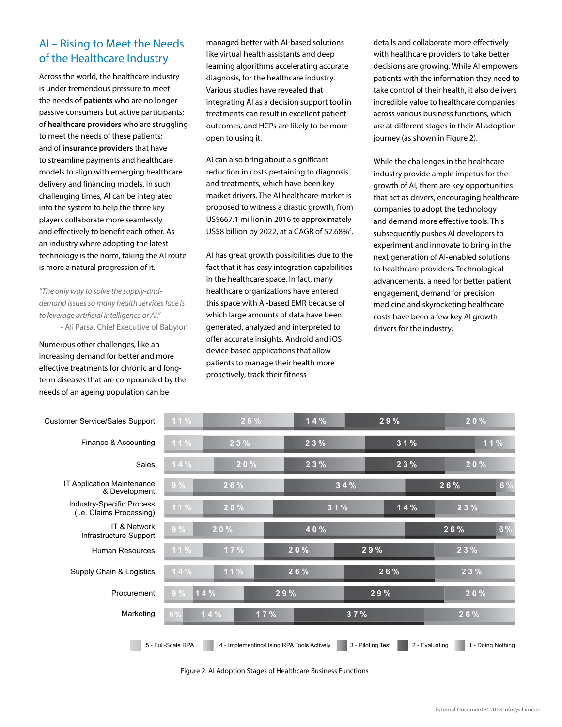## AI – Rising to Meet the Needs of the Healthcare Industry

Across the world, the healthcare industry is under tremendous pressure to meet the needs of **patients** who are no longer passive consumers but active participants; of **healthcare providers** who are struggling to meet the needs of these patients; and of **insurance providers** that have to streamline payments and healthcare models to align with emerging healthcare delivery and financing models. In such challenging times, AI can be integrated into the system to help the three key players collaborate more seamlessly and effectively to benefit each other. As an industry where adopting the latest technology is the norm, taking the AI route is more a natural progression of it.

*"The only way to solve the supply-anddemand issues so many health services face is to leverage artificial intelligence or AI."* - Ali Parsa, Chief Executive of Babylon

Numerous other challenges, like an increasing demand for better and more effective treatments for chronic and longterm diseases that are compounded by the needs of an ageing population can be

managed better with AI-based solutions like virtual health assistants and deep learning algorithms accelerating accurate diagnosis, for the healthcare industry. Various studies have revealed that integrating AI as a decision support tool in treatments can result in excellent patient outcomes, and HCPs are likely to be more open to using it.

AI can also bring about a significant reduction in costs pertaining to diagnosis and treatments, which have been key market drivers. The AI healthcare market is proposed to witness a drastic growth, from US\$667.1 million in 2016 to approximately US\$8 billion by 2022, at a CAGR of 52.68%4 .

AI has great growth possibilities due to the fact that it has easy integration capabilities in the healthcare space. In fact, many healthcare organizations have entered this space with AI-based EMR because of which large amounts of data have been generated, analyzed and interpreted to offer accurate insights. Android and iOS device based applications that allow patients to manage their health more proactively, track their fitness

details and collaborate more effectively with healthcare providers to take better decisions are growing. While AI empowers patients with the information they need to take control of their health, it also delivers incredible value to healthcare companies across various business functions, which are at different stages in their AI adoption journey (as shown in Figure 2).

While the challenges in the healthcare industry provide ample impetus for the growth of AI, there are key opportunities that act as drivers, encouraging healthcare companies to adopt the technology and demand more effective tools. This subsequently pushes AI developers to experiment and innovate to bring in the next generation of AI-enabled solutions to healthcare providers. Technological advancements, a need for better patient engagement, demand for precision medicine and skyrocketing healthcare costs have been a few key AI growth drivers for the industry.

| <b>Customer Service/Sales Support</b>                        | $11\%$             | 26% | 14%                                       | 29%               | 20%                                 |    |
|--------------------------------------------------------------|--------------------|-----|-------------------------------------------|-------------------|-------------------------------------|----|
| Finance & Accounting                                         | 11%                | 23% | 23%                                       | 31%               | 11%                                 |    |
| Sales                                                        | 14%                | 20% | 23%                                       | 23%               | 20%                                 |    |
| IT Application Maintenance<br>& Development                  | 9%                 | 26% |                                           | 34%               | 26%                                 | 6% |
| <b>Industry-Specific Process</b><br>(i.e. Claims Processing) | 11%                | 20% | 31%                                       | 14%               | 2 3 %                               |    |
| IT & Network<br>Infrastructure Support                       | 9%                 | 20% | 40%                                       |                   | 26%                                 | 6% |
| <b>Human Resources</b>                                       | 11%                | 17% | 20%                                       | 29%               | 23%                                 |    |
| Supply Chain & Logistics                                     | 14%                | 11% | 26%                                       | 26%               | 2 3 %                               |    |
| Procurement                                                  | 9%                 | 14% | 29%                                       | 29%               | 20%                                 |    |
| Marketing                                                    | $6\,\%$            | 14% | 17%                                       | 37%               | 26%                                 |    |
|                                                              | 5 - Full-Scale RPA |     | 4 - Implementing/Using RPA Tools Actively | 3 - Piloting Test | 2 - Evaluating<br>1 - Doing Nothing |    |

Figure 2: AI Adoption Stages of Healthcare Business Functions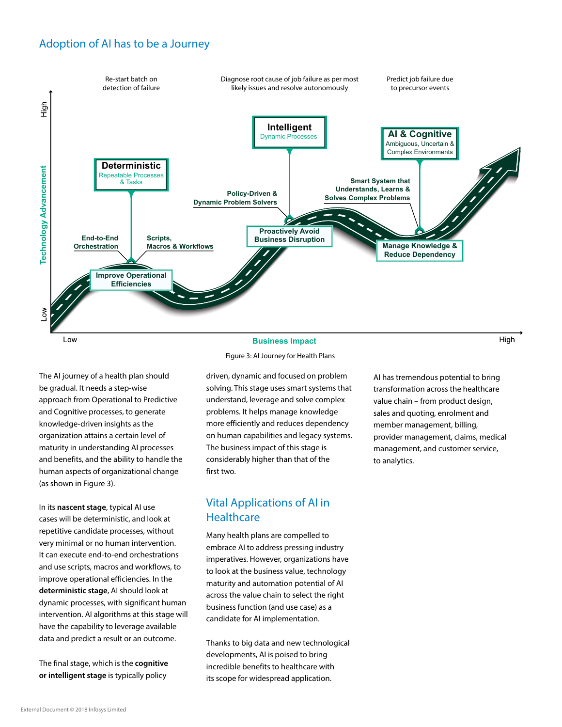## Adoption of AI has to be a Journey



## **Business Impact**

Figure 3: AI Journey for Health Plans

The AI journey of a health plan should be gradual. It needs a step-wise approach from Operational to Predictive and Cognitive processes, to generate knowledge-driven insights as the organization attains a certain level of maturity in understanding AI processes and benefits, and the ability to handle the human aspects of organizational change (as shown in Figure 3).

In its **nascent stage**, typical AI use cases will be deterministic, and look at repetitive candidate processes, without very minimal or no human intervention. It can execute end-to-end orchestrations and use scripts, macros and workflows, to improve operational efficiencies. In the **deterministic stage**, AI should look at dynamic processes, with significant human intervention. AI algorithms at this stage will have the capability to leverage available data and predict a result or an outcome.

The final stage, which is the **cognitive or intelligent stage** is typically policy

driven, dynamic and focused on problem solving. This stage uses smart systems that understand, leverage and solve complex problems. It helps manage knowledge more efficiently and reduces dependency on human capabilities and legacy systems. The business impact of this stage is considerably higher than that of the first two.

## Vital Applications of AI in **Healthcare**

Many health plans are compelled to embrace AI to address pressing industry imperatives. However, organizations have to look at the business value, technology maturity and automation potential of AI across the value chain to select the right business function (and use case) as a candidate for AI implementation.

Thanks to big data and new technological developments, AI is poised to bring incredible benefits to healthcare with its scope for widespread application.

AI has tremendous potential to bring transformation across the healthcare value chain – from product design, sales and quoting, enrolment and member management, billing, provider management, claims, medical management, and customer service, to analytics.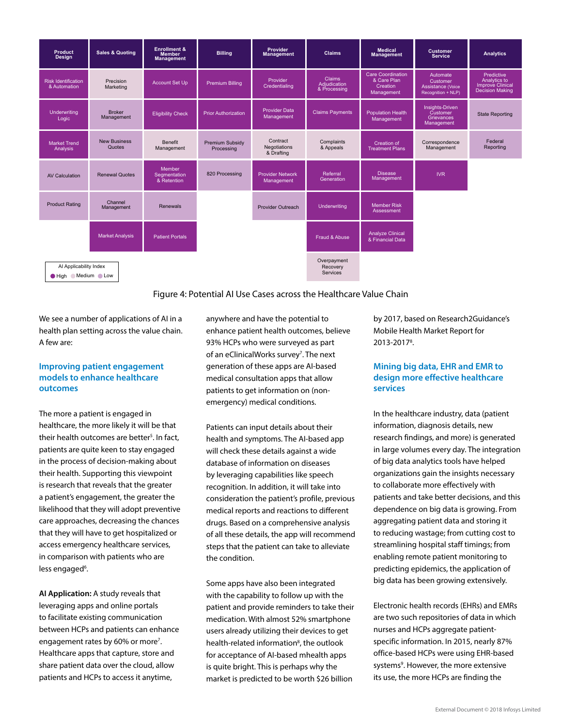

#### Figure 4: Potential AI Use Cases across the Healthcare Value Chain

We see a number of applications of AI in a health plan setting across the value chain. A few are:

#### **Improving patient engagement models to enhance healthcare outcomes**

The more a patient is engaged in healthcare, the more likely it will be that their health outcomes are better<sup>5</sup>. In fact, patients are quite keen to stay engaged in the process of decision-making about their health. Supporting this viewpoint is research that reveals that the greater a patient's engagement, the greater the likelihood that they will adopt preventive care approaches, decreasing the chances that they will have to get hospitalized or access emergency healthcare services, in comparison with patients who are less engaged<sup>6</sup>.

**AI Application:** A study reveals that leveraging apps and online portals to facilitate existing communication between HCPs and patients can enhance engagement rates by 60% or more<sup>7</sup>. Healthcare apps that capture, store and share patient data over the cloud, allow patients and HCPs to access it anytime,

anywhere and have the potential to enhance patient health outcomes, believe 93% HCPs who were surveyed as part of an eClinicalWorks survey<sup>7</sup>. The next generation of these apps are AI-based medical consultation apps that allow patients to get information on (nonemergency) medical conditions.

Patients can input details about their health and symptoms. The AI-based app will check these details against a wide database of information on diseases by leveraging capabilities like speech recognition. In addition, it will take into consideration the patient's profile, previous medical reports and reactions to different drugs. Based on a comprehensive analysis of all these details, the app will recommend steps that the patient can take to alleviate the condition.

Some apps have also been integrated with the capability to follow up with the patient and provide reminders to take their medication. With almost 52% smartphone users already utilizing their devices to get health-related information<sup>8</sup>, the outlook for acceptance of AI-based mhealth apps is quite bright. This is perhaps why the market is predicted to be worth \$26 billion

by 2017, based on Research2Guidance's Mobile Health Market Report for 2013-20178 .

#### **Mining big data, EHR and EMR to design more effective healthcare services**

In the healthcare industry, data (patient information, diagnosis details, new research findings, and more) is generated in large volumes every day. The integration of big data analytics tools have helped organizations gain the insights necessary to collaborate more effectively with patients and take better decisions, and this dependence on big data is growing. From aggregating patient data and storing it to reducing wastage; from cutting cost to streamlining hospital staff timings; from enabling remote patient monitoring to predicting epidemics, the application of big data has been growing extensively.

Electronic health records (EHRs) and EMRs are two such repositories of data in which nurses and HCPs aggregate patientspecific information. In 2015, nearly 87% office-based HCPs were using EHR-based systems<sup>9</sup>. However, the more extensive its use, the more HCPs are finding the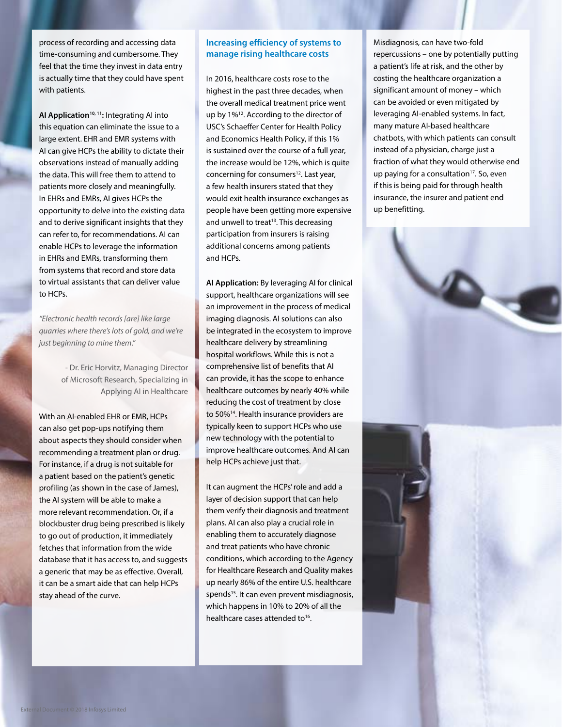process of recording and accessing data time-consuming and cumbersome. They feel that the time they invest in data entry is actually time that they could have spent with patients.

AI Application<sup>10, 11</sup>: Integrating AI into this equation can eliminate the issue to a large extent. EHR and EMR systems with AI can give HCPs the ability to dictate their observations instead of manually adding the data. This will free them to attend to patients more closely and meaningfully. In EHRs and EMRs, AI gives HCPs the opportunity to delve into the existing data and to derive significant insights that they can refer to, for recommendations. AI can enable HCPs to leverage the information in EHRs and EMRs, transforming them from systems that record and store data to virtual assistants that can deliver value to HCPs.

*"Electronic health records [are] like large quarries where there's lots of gold, and we're just beginning to mine them."*

> - Dr. Eric Horvitz, Managing Director of Microsoft Research, Specializing in Applying AI in Healthcare

With an AI-enabled EHR or EMR, HCPs can also get pop-ups notifying them about aspects they should consider when recommending a treatment plan or drug. For instance, if a drug is not suitable for a patient based on the patient's genetic profiling (as shown in the case of James), the AI system will be able to make a more relevant recommendation. Or, if a blockbuster drug being prescribed is likely to go out of production, it immediately fetches that information from the wide database that it has access to, and suggests a generic that may be as effective. Overall, it can be a smart aide that can help HCPs stay ahead of the curve.

#### **Increasing efficiency of systems to manage rising healthcare costs**

In 2016, healthcare costs rose to the highest in the past three decades, when the overall medical treatment price went up by 1%<sup>12</sup>. According to the director of USC's Schaeffer Center for Health Policy and Economics Health Policy, if this 1% is sustained over the course of a full year, the increase would be 12%, which is quite concerning for consumers<sup>12</sup>. Last year, a few health insurers stated that they would exit health insurance exchanges as people have been getting more expensive and unwell to treat<sup>13</sup>. This decreasing participation from insurers is raising additional concerns among patients and HCPs.

**AI Application:** By leveraging AI for clinical support, healthcare organizations will see an improvement in the process of medical imaging diagnosis. AI solutions can also be integrated in the ecosystem to improve healthcare delivery by streamlining hospital workflows. While this is not a comprehensive list of benefits that AI can provide, it has the scope to enhance healthcare outcomes by nearly 40% while reducing the cost of treatment by close to 50%14. Health insurance providers are typically keen to support HCPs who use new technology with the potential to improve healthcare outcomes. And AI can help HCPs achieve just that.

It can augment the HCPs' role and add a layer of decision support that can help them verify their diagnosis and treatment plans. AI can also play a crucial role in enabling them to accurately diagnose and treat patients who have chronic conditions, which according to the Agency for Healthcare Research and Quality makes up nearly 86% of the entire U.S. healthcare spends<sup>15</sup>. It can even prevent misdiagnosis, which happens in 10% to 20% of all the healthcare cases attended to<sup>16</sup>.

Misdiagnosis, can have two-fold repercussions – one by potentially putting a patient's life at risk, and the other by costing the healthcare organization a significant amount of money – which can be avoided or even mitigated by leveraging AI-enabled systems. In fact, many mature AI-based healthcare chatbots, with which patients can consult instead of a physician, charge just a fraction of what they would otherwise end up paying for a consultation<sup>17</sup>. So, even if this is being paid for through health insurance, the insurer and patient end up benefitting.

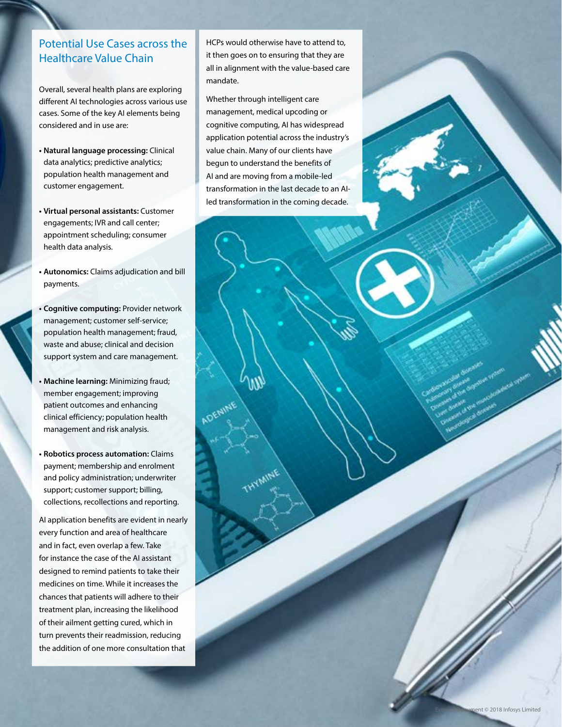## Potential Use Cases across the Healthcare Value Chain

Overall, several health plans are exploring different AI technologies across various use cases. Some of the key AI elements being considered and in use are:

- **• Natural language processing:** Clinical data analytics; predictive analytics; population health management and customer engagement.
- **• Virtual personal assistants:** Customer engagements; IVR and call center; appointment scheduling; consumer health data analysis.
- **• Autonomics:** Claims adjudication and bill payments.
- **• Cognitive computing:** Provider network management; customer self-service; population health management; fraud, waste and abuse; clinical and decision support system and care management.
- **• Machine learning:** Minimizing fraud; member engagement; improving patient outcomes and enhancing clinical efficiency; population health management and risk analysis.
- **• Robotics process automation:** Claims payment; membership and enrolment and policy administration; underwriter support; customer support; billing, collections, recollections and reporting.

AI application benefits are evident in nearly every function and area of healthcare and in fact, even overlap a few. Take for instance the case of the AI assistant designed to remind patients to take their medicines on time. While it increases the chances that patients will adhere to their treatment plan, increasing the likelihood of their ailment getting cured, which in turn prevents their readmission, reducing the addition of one more consultation that

HCPs would otherwise have to attend to, it then goes on to ensuring that they are all in alignment with the value-based care mandate.

Whether through intelligent care management, medical upcoding or cognitive computing, AI has widespread application potential across the industry's value chain. Many of our clients have begun to understand the benefits of AI and are moving from a mobile-led transformation in the last decade to an AIled transformation in the coming decade.